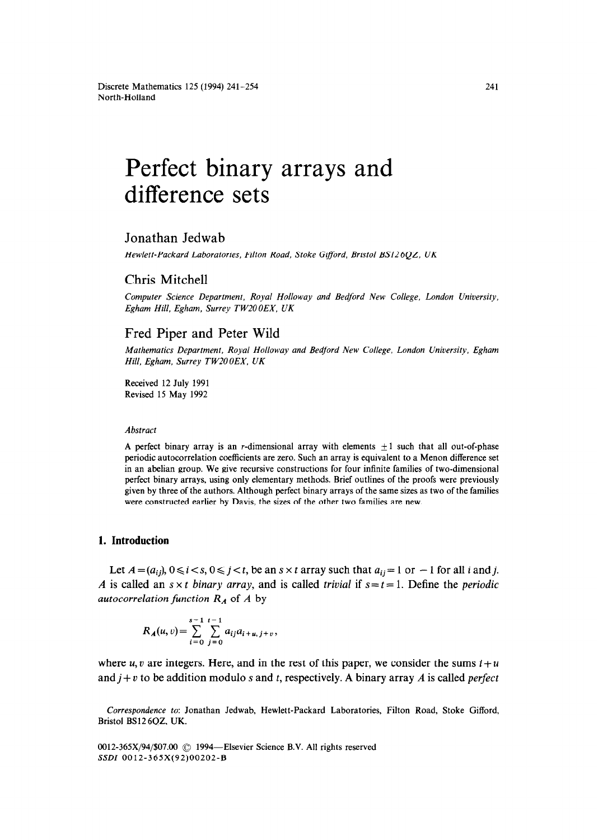# Perfect binary arrays and difference sets

# Jonathan Jedwab

Hewlett-Packard Laboratories, Filton Road, Stoke Gifford, Bristol BS126QZ, UK

## Chris Mitchell

*Computer Science Department, Royal Holloway and Bedford New College. London University, Egham Hill, Egham, Surrey TWZOOEX, UK* 

## Fred Piper and Peter Wild

*Mathematics Department, Royal Holloway and Bedford New College, London University, Egham Hill, Egham. Surrey TWZOOEX, UK* 

Received 12 July 1991 Revised 15 May 1992

#### *Abstract*

A perfect binary array is an r-dimensional array with elements  $\pm 1$  such that all out-of-phase periodic autocorrelation coefficients are zero. Such an array is equivalent to a Menon difference set in an abelian group. We give recursive constructions for four infinite families of two-dimensional perfect binary arrays, using only elementary methods. Brief outlines of the proofs were previously given by three of the authors. Although perfect binary arrays of the same sizes as two of the families were constructed earlier by Davis, the sizes of the other two families are new.

# **1. Introduction**

Let  $A=(a_{ij}), 0 \le i < s, 0 \le j < t$ , be an  $s \times t$  array such that  $a_{ij}=1$  or  $-1$  for all i and j. *A* is called an  $s \times t$  *binary array,* and is called *trivial* if  $s = t = 1$ . Define the *periodic autocorrelation function*  $R_A$  of  $A$  by

$$
R_{\boldsymbol{A}}(u,v) = \sum_{i=0}^{s-1} \sum_{j=0}^{t-1} a_{ij} a_{i+u,j+v},
$$

where  $u, v$  are integers. Here, and in the rest of this paper, we consider the sums  $i + u$ and  $j + v$  to be addition modulo s and t, respectively. A binary array A is called *perfect* 

*Correspondence to:* Jonathan Jedwab, Hewlett-Packard Laboratories, Filton Road, Stoke Gifford, Bristol BS12 6QZ, UK.

0012-365X/94/\$07.00 © 1994—Elsevier Science B.V. All rights reserved SSDI 0012-365X(92)00202-B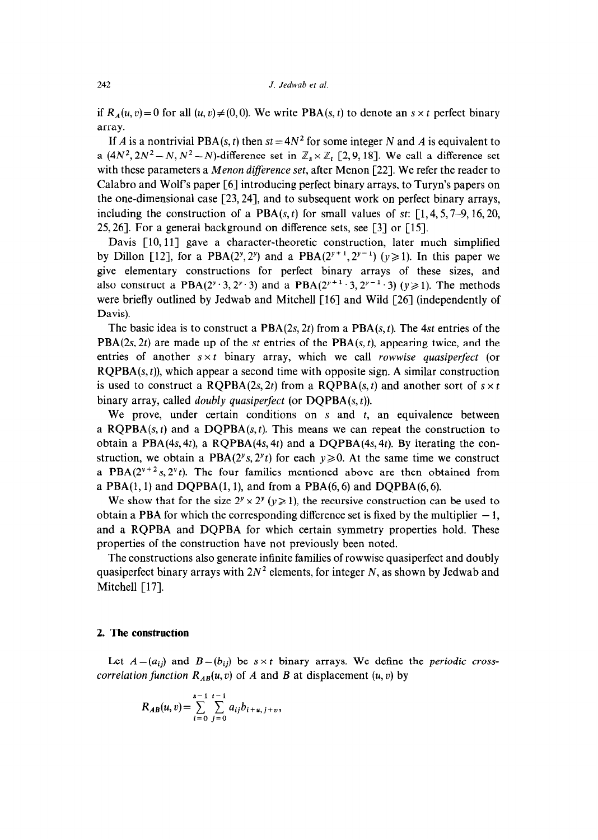if  $R_A(u, v) = 0$  for all  $(u, v) \neq (0, 0)$ . We write PBA(s, t) to denote an s x t perfect binary array.

If A is a nontrivial PBA(s, t) then  $st = 4N^2$  for some integer N and A is equivalent to a  $(4N^2, 2N^2-N, N^2-N)$ -difference set in  $\mathbb{Z}_s \times \mathbb{Z}_r$  [2,9, 18]. We call a difference set with these parameters a *Menon diference set,* after Menon [22]. We refer the reader to Calabro and Wolf's paper [6] introducing perfect binary arrays, to Turyn's papers on the one-dimensional case [23,24], and to subsequent work on perfect binary arrays, including the construction of a PBA $(s, t)$  for small values of *st*: [1, 4, 5, 7–9, 16, 20, *25,261.* For a general background on difference sets, see [3] or [15].

Davis  $\lceil 10, 11 \rceil$  gave a character-theoretic construction, later much simplified by Dillon [12], for a PBA(2<sup>y</sup>, 2<sup>y</sup>) and a PBA(2<sup>y+1</sup>, 2<sup>y-1</sup>) ( $y \ge 1$ ). In this paper we give elementary constructions for perfect binary arrays of these sizes, and also construct a PBA( $2^y \cdot 3$ ,  $2^y \cdot 3$ ) and a PBA( $2^{y+1} \cdot 3$ ,  $2^{y-1} \cdot 3$ ) ( $y \ge 1$ ). The methods were briefly outlined by Jedwab and Mitchell [16] and Wild [26] (independently of Davis).

The basic idea is to construct a PBA(2s, *2t)* from a PBA(s, t). The *4st* entries of the PBA(2s, 2t) are made up of the *st* entries of the PBA(s, t), appearing twice, and the entries of another  $s \times t$  binary array, which we call *rowwise quasiperfect* (or  $ROPBA(s, t)$ , which appear a second time with opposite sign. A similar construction is used to construct a RQPBA(2s, 2t) from a RQPBA(s, t) and another sort of  $s \times t$ binary array, called *doubly quasiperfect* (or DQPBA(s, t)).

We prove, under certain conditions on  $s$  and  $t$ , an equivalence between a RQPBA $(s, t)$  and a DQPBA $(s, t)$ . This means we can repeat the construction to obtain a PBA(4s, *4t),* a RQPBA(4s, *4t)* and a DQPBA(4s, *4t).* By iterating the construction, we obtain a PBA( $2^{\nu}s$ ,  $2^{\nu}t$ ) for each  $y \ge 0$ . At the same time we construct a PBA( $2^{y+2}$ s,  $2^{y}$ t). The four families mentioned above are then obtained from a  $PBA(1, 1)$  and  $DQPBA(1, 1)$ , and from a  $PBA(6, 6)$  and  $DQPBA(6, 6)$ .

We show that for the size  $2^y \times 2^y (y \ge 1)$ , the recursive construction can be used to obtain a PBA for which the corresponding difference set is fixed by the multiplier  $-1$ , and a RQPBA and DQPBA for which certain symmetry properties hold. These properties of the construction have not previously been noted.

The constructions also generate infinite families of rowwise quasiperfect and doubly quasiperfect binary arrays with  $2N^2$  elements, for integer N, as shown by Jedwab and Mitchell [17].

#### 2. **The construction**

Let  $A = (a_{ij})$  and  $B = (b_{ij})$  be  $s \times t$  binary arrays. We define the *periodic crosscorrelation function*  $R_{AB}(u, v)$  of A and B at displacement  $(u, v)$  by

$$
R_{AB}(u,v) = \sum_{i=0}^{s-1} \sum_{j=0}^{t-1} a_{ij} b_{i+u,j+v},
$$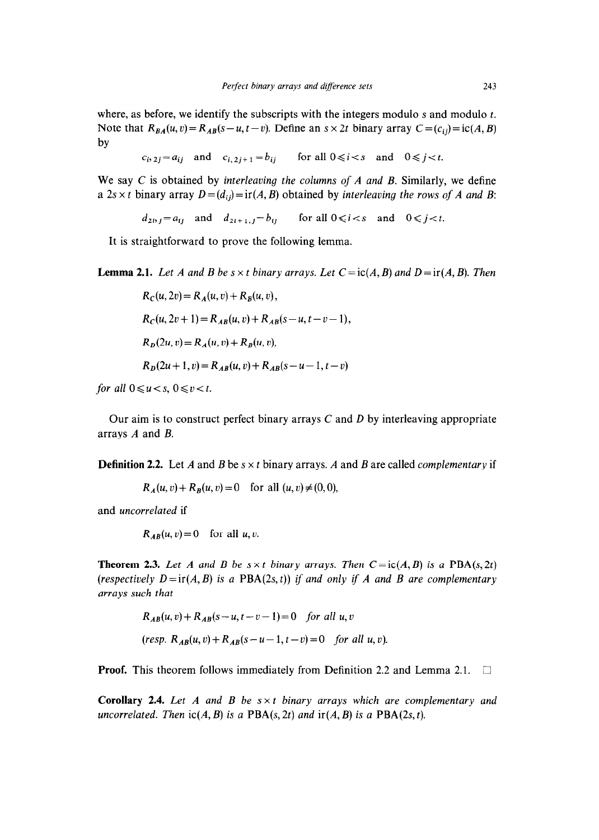where, as before, we identify the subscripts with the integers modulo  $s$  and modulo  $t$ . Note that  $R_{BA}(u, v) = R_{AB}(s - u, t - v)$ . Define an  $s \times 2t$  binary array  $C = (c_{ij}) = ic(A, B)$ by

 $c_{i, 2i} = a_{ii}$  and  $c_{i, 2i+1} = b_{ii}$  for all  $0 \le i \le s$  and  $0 \le j \le t$ .

We say C is obtained by *interleaving the columns of A and B.* Similarly, we define a  $2s \times t$  binary array  $D=(d_{ij})=if(A, B)$  obtained by *interleaving the rows of A and B*:

 $d_{2i}$ ,  $j = a_{ij}$  and  $d_{2i+1,j} = b_{ij}$  for all  $0 \le i \le s$  and  $0 \le j \le t$ .

It is straightforward to prove the following lemma.

**Lemma 2.1.** Let A and B be  $s \times t$  binary arrays. Let  $C = ic(A, B)$  and  $D = ir(A, B)$ . Then

$$
R_C(u, 2v) = R_A(u, v) + R_B(u, v),
$$
  
\n
$$
R_C(u, 2v + 1) = R_{AB}(u, v) + R_{AB}(s - u, t - v - 1),
$$
  
\n
$$
R_D(2u, v) = R_A(u, v) + R_B(u, v),
$$
  
\n
$$
R_D(2u + 1, v) = R_{AB}(u, v) + R_{AB}(s - u - 1, t - v)
$$

*for all*  $0 \le u < s$ ,  $0 \le v < t$ .

Our aim is to construct perfect binary arrays C and *D* by interleaving appropriate arrays *A* and *B.* 

**Definition 2.2.** Let *A* and *B* be  $s \times t$  binary arrays. *A* and *B* are called *complementary* if

 $R_A(u, v) + R_B(u, v) = 0$  for all  $(u, v) \neq (0, 0)$ ,

and *uncorrelated* if

 $R_{AB}(u, v) = 0$  for all u, v.

**Theorem 2.3.** Let A and B be  $s \times t$  binary arrays. Then  $C = ic(A, B)$  is a PBA(s, 2t) *(respectively*  $D=ir(A, B)$  *is a PBA(2s, t)) if and only if A and B are complementary arrays such that* 

> $R_{AB}(u, v) + R_{AB}(s-u, t-v-1) = 0$  for all u, v  $(resp. R<sub>AB</sub>(u, v) + R<sub>AB</sub>(s-u-1, t-v) = 0$  *for all u,v).*

**Proof.** This theorem follows immediately from Definition 2.2 and Lemma 2.1.  $\Box$ 

**Corollary** *2.4. Let A and B be s x t binary arrays which are complementary and uncorrelated. Then*  $ic(A, B)$  *is a*  $PBA(s, 2t)$  *and*  $ir(A, B)$  *is a*  $PBA(2s, t)$ *.*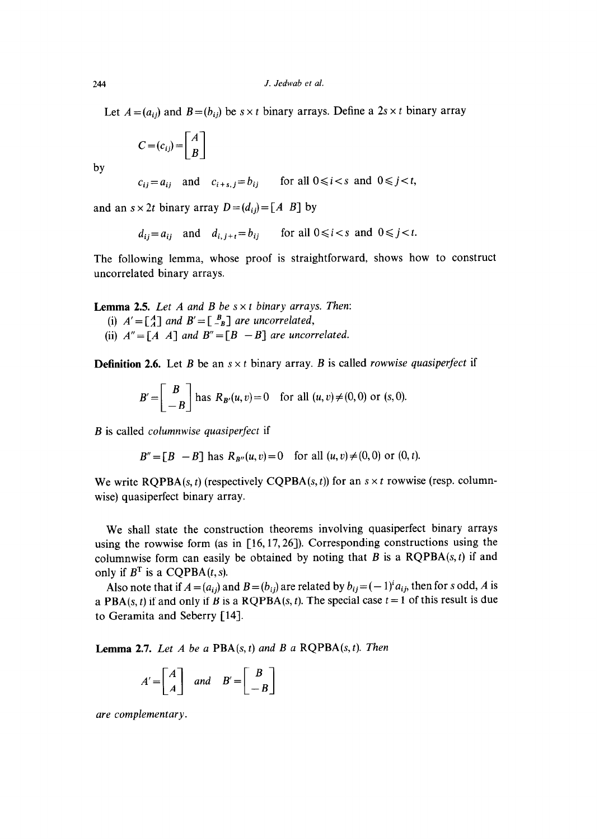Let  $A = (a_{ij})$  and  $B = (b_{ij})$  be  $s \times t$  binary arrays. Define a  $2s \times t$  binary array

$$
C = (c_{ij}) = \begin{bmatrix} A \\ B \end{bmatrix}
$$

by

$$
c_{ij} = a_{ij}
$$
 and  $c_{i+s,j} = b_{ij}$  for all  $0 \le i < s$  and  $0 \le j < t$ ,

and an  $s \times 2t$  binary array  $D = (d_{ij}) = [A \ B]$  by

$$
d_{ij} = a_{ij}
$$
 and  $d_{i,j+t} = b_{ij}$  for all  $0 \le i < s$  and  $0 \le j < t$ .

The following lemma, whose proof is straightforward, shows how to construct uncorrelated binary arrays.

**Lemma 2.5.** *Let A and B be s x t binary arrays. Then:* 

- (i)  $A' = \begin{bmatrix} A \\ A \end{bmatrix}$  and  $B' = \begin{bmatrix} B \\ -B \end{bmatrix}$  are uncorrelated,
- (ii)  $A'' = [A \ A]$  and  $B'' = [B \ -B]$  are uncorrelated.

**Definition 2.6.** Let *B* be an  $s \times t$  binary array. *B* is called *rowwise quasiperfect* if

$$
B' = \begin{bmatrix} B \\ -B \end{bmatrix}
$$
 has  $R_{B'}(u, v) = 0$  for all  $(u, v) \neq (0, 0)$  or  $(s, 0)$ .

*B* is called *columnwise quasiperfect* if

 $B'' = [B - B]$  has  $R_{B''}(u, v) = 0$  for all  $(u, v) \neq (0, 0)$  or  $(0, t)$ .

We write  $RQPBA(s, t)$  (respectively CQPBA(s, t)) for an  $s \times t$  rowwise (resp. columnwise) quasiperfect binary array.

We shall state the construction theorems involving quasiperfect binary arrays using the rowwise form (as in [16,17,26]). Corresponding constructions using the columnwise form can easily be obtained by noting that  $B$  is a  $RQPBA(s, t)$  if and only if  $B<sup>T</sup>$  is a CQPBA(t, s).

Also note that if  $A = (a_{ij})$  and  $B = (b_{ij})$  are related by  $b_{ij} = (-1)^i a_{ij}$ , then for s odd, A is a PBA(s, t) if and only if *B* is a RQPBA(s, t). The special case  $t = 1$  of this result is due to Geramita and Seberry [14].

**Lemma 2.7.** *Let A be a PBA(s, t) and B a RQPBA(s, t). Then* 

$$
A' = \begin{bmatrix} A \\ A \end{bmatrix} \quad and \quad B' = \begin{bmatrix} B \\ -B \end{bmatrix}
$$

*are complementary.*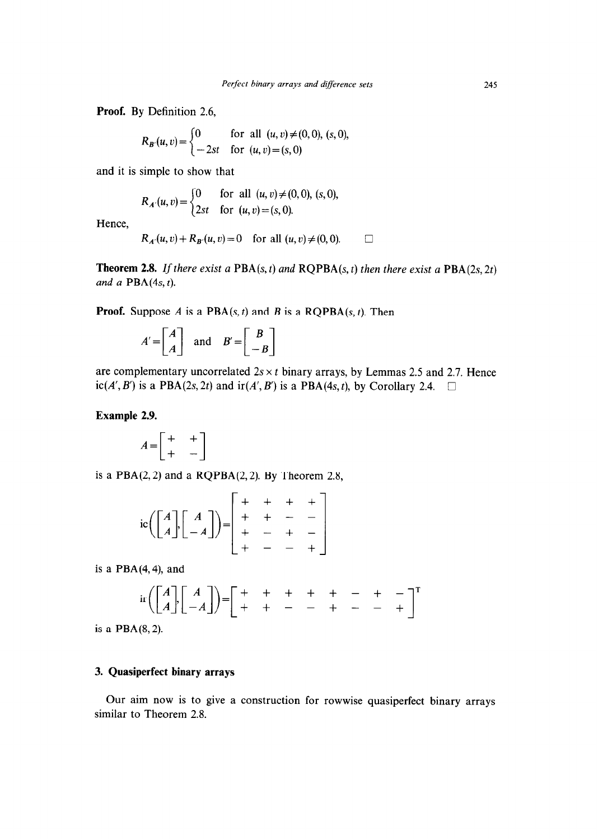**Proof.** By Definition 2.6,

$$
R_{B'}(u,v) = \begin{cases} 0 & \text{for all } (u,v) \neq (0,0), (s,0), \\ -2st & \text{for } (u,v) = (s,0) \end{cases}
$$

and it is simple to show that

$$
R_{A'}(u,v) = \begin{cases} 0 & \text{for all } (u,v) \neq (0,0), (s,0), \\ 2st & \text{for } (u,v) = (s,0). \end{cases}
$$

Hence,

$$
R_{A'}(u, v) + R_{B'}(u, v) = 0
$$
 for all  $(u, v) \neq (0, 0)$ .

**Theorem 2.8.** *If there exist a*  $PBA(s, t)$  *and*  $RQPBA(s, t)$  *then there exist a*  $PBA(2s, 2t)$ *and a* PBA(4s, t).

**Proof.** Suppose A is a  $PBA(s, t)$  and B is a  $RQPBA(s, t)$ . Then

$$
A' = \begin{bmatrix} A \\ A \end{bmatrix} \text{ and } B' = \begin{bmatrix} B \\ -B \end{bmatrix}
$$

are complementary uncorrelated  $2s \times t$  binary arrays, by Lemmas 2.5 and 2.7. Hence  $ic(A', B')$  is a PBA(2s, 2t) and  $ir(A', B')$  is a PBA(4s, t), by Corollary 2.4.  $\square$ 

# **Example 2.9.**

$$
A = \begin{bmatrix} + & + \\ + & - \end{bmatrix}
$$

is a  $PBA(2, 2)$  and a  $RQPBA(2, 2)$ . By Theorem 2.8,

$$
ic \left( \begin{bmatrix} A \\ A \end{bmatrix} \begin{bmatrix} A \\ -A \end{bmatrix} \right) = \begin{bmatrix} + & + & + & + \\ + & + & - & - \\ + & - & + & - \\ + & - & - & + \end{bmatrix}
$$

is a  $PBA(4,4)$ , and

$$
\operatorname{ir}\left(\begin{bmatrix} A \\ A \end{bmatrix}\begin{bmatrix} A \\ -A \end{bmatrix}\right) = \begin{bmatrix} + & + & + & + & - & + & - \\ + & + & - & - & + & - & - \\ + & + & - & - & + & - & - \end{bmatrix}^T
$$

is a PBA(8,2).

# 3. **Quasiperfect binary arrays**

Our aim now is to give a construction for rowwise quasiperfect binary arrays similar to Theorem 2.8.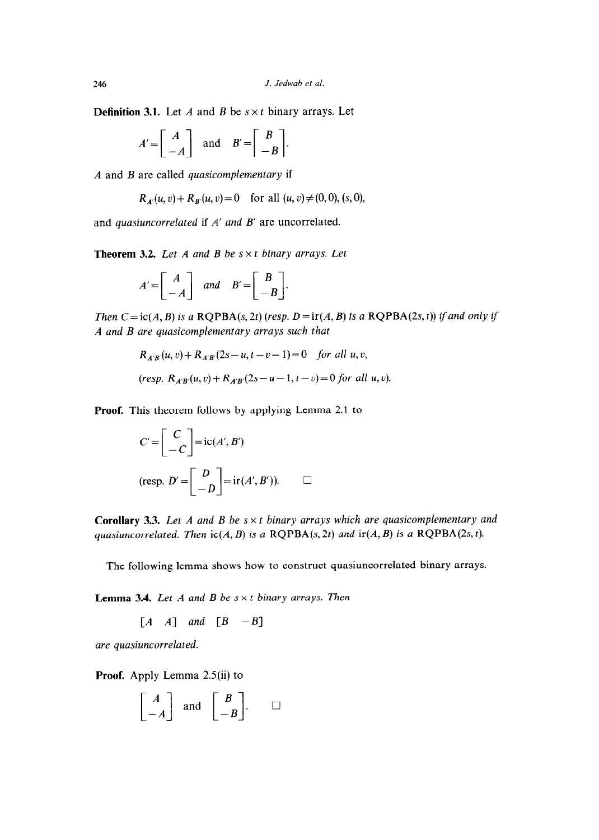**Definition 3.1.** Let A and B be  $s \times t$  binary arrays. Let

$$
A' = \begin{bmatrix} A \\ -A \end{bmatrix} \text{ and } B' = \begin{bmatrix} B \\ -B \end{bmatrix}.
$$

*A* and *B* are called *quasicomplementary* if

 $R_{A}(u, v) + R_{B}(u, v) = 0$  for all  $(u, v) \neq (0, 0), (s, 0),$ 

and *quasiuncorrelated* if *A' and B'* are uncorrelated.

**Theorem 3.2.** *Let A and B be s x t binary arrays. Let* 

$$
A' = \begin{bmatrix} A \\ -A \end{bmatrix} \quad and \quad B' = \begin{bmatrix} B \\ -B \end{bmatrix}.
$$

*Then*  $C =$  ic( $A$ ,  $B$ ) is a RQPBA(s, 2t) (resp.  $D =$  ir( $A$ ,  $B$ ) is a RQPBA(2s, t)) if and only if *A and B are quasicomplementary arrays such that* 

$$
R_{A'B'}(u, v) + R_{A'B'}(2s - u, t - v - 1) = 0 \quad \text{for all } u, v,
$$
  
(resp.  $R_{A'B'}(u, v) + R_{A'B'}(2s - u - 1, t - v) = 0 \text{ for all } u, v).$ 

**Proof.** This theorem follows by applying Lemma 2.1 to

$$
C' = \begin{bmatrix} C \\ -C \end{bmatrix} = ic(A', B')
$$
  
(resp.  $D' = \begin{bmatrix} D \\ -D \end{bmatrix} = ir(A', B')). \qquad \Box$ 

**Corollary 3.3.** Let A and B be  $s \times t$  binary arrays which are quasicomplementary and *quasiuncorrelated. Then*  $ic(A, B)$  *is a*  $RQPBA(s, 2t)$  *and*  $ir(A, B)$  *is a*  $RQPBA(2s, t)$ .

The following lemma shows how to construct quasiuncorrelated binary arrays.

**Lemma 3.4.** *Let A and B be s x t binary arrays. Then* 

 $[A \ A]$  and  $[B \ -B]$ 

*are quasiuncorrelated.* 

**Proof.** Apply Lemma 2.5(ii) to

$$
\begin{bmatrix} A \\ -A \end{bmatrix} \text{ and } \begin{bmatrix} B \\ -B \end{bmatrix}.\square
$$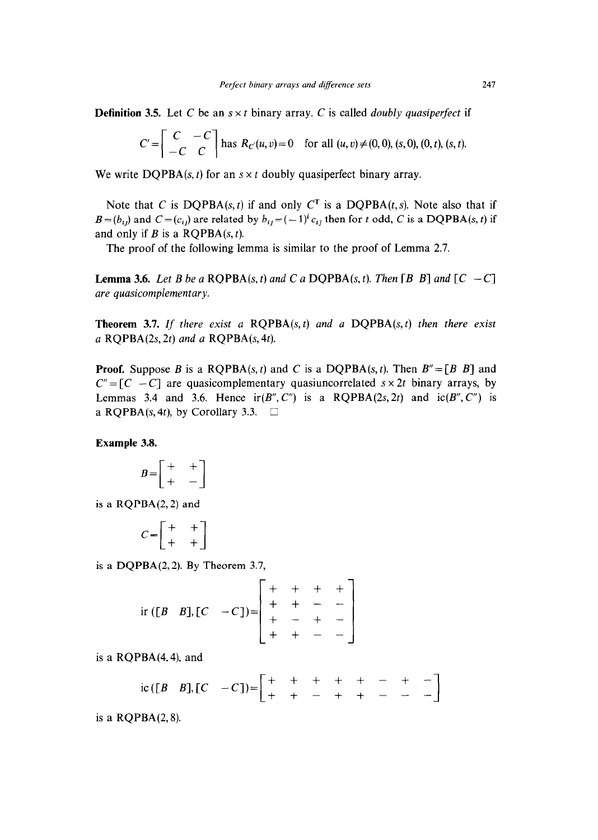**Definition 3.5.** Let C be an  $s \times t$  binary array. C is called *doubly quasiperfect* if

$$
C' = \begin{bmatrix} C & -C \\ -C & C \end{bmatrix}
$$
 has  $R_C(u, v) = 0$  for all  $(u, v) \neq (0, 0), (s, 0), (0, t), (s, t).$ 

We write  $DQPBA(s, t)$  for an  $s \times t$  doubly quasiperfect binary array.

Note that C is  $DQPBA(s, t)$  if and only  $C<sup>T</sup>$  is a  $DQPBA(t, s)$ . Note also that if  $B = (b_{ij})$  and  $C = (c_{ij})$  are related by  $b_{ij} = (-1)^i c_{ij}$  then for t odd, C is a DQPBA(s, t) if and only if  $B$  is a RQPBA $(s, t)$ .

The proof of the following lemma is similar to the proof of Lemma 2.7.

**Lemma 3.6.** Let B be a ROPBA(s, t) and C a DOPBA(s, t). Then [B B] and  $\begin{bmatrix} C & -C \end{bmatrix}$ *are quasicomplementary.* 

**Theorem 3.7. If** *there exist a* RQPBA(s, t) *and a* DQPBA(s, t) *then there exist a* RQPBA(2s, *2t) and a* RQPBA(s, *4t).* 

**Proof.** Suppose B is a RQPBA(s, t) and C is a DQPBA(s, t). Then  $B'' = [B \ B]$  and  $C'' = [C - C]$  are quasicomplementary quasiuncorrelated  $s \times 2t$  binary arrays, by Lemmas 3.4 and 3.6. Hence  $ir(B'', C'')$  is a RQPBA(2s, 2t) and  $ic(B'', C'')$  is a RQPBA(s, 4t), by Corollary 3.3.  $\Box$ 

**Example 3.8.** 

$$
B = \begin{bmatrix} + & + \\ + & - \end{bmatrix}
$$

is a RQPBA(2,2) and

$$
C = \begin{bmatrix} + & + \\ + & + \end{bmatrix}
$$

$$
C = \begin{bmatrix} + & + \\ + & + \end{bmatrix}
$$
  
is a DQPBA(2, 2). By Theorem 3.7,  
ir ([B B], [C -C]) = 
$$
\begin{bmatrix} + & + & + & + \\ + & + & - & - \\ + & - & + & - \\ + & + & - & - \end{bmatrix}
$$

is a  $RQPBA(4,4)$ , and

$$
ic([B \quad B],[C \quad -C]) = \begin{bmatrix} + & + & + & + & - & + & - \\ + & + & - & + & + & - & - & - \end{bmatrix}
$$

is a RQPBA(2,8).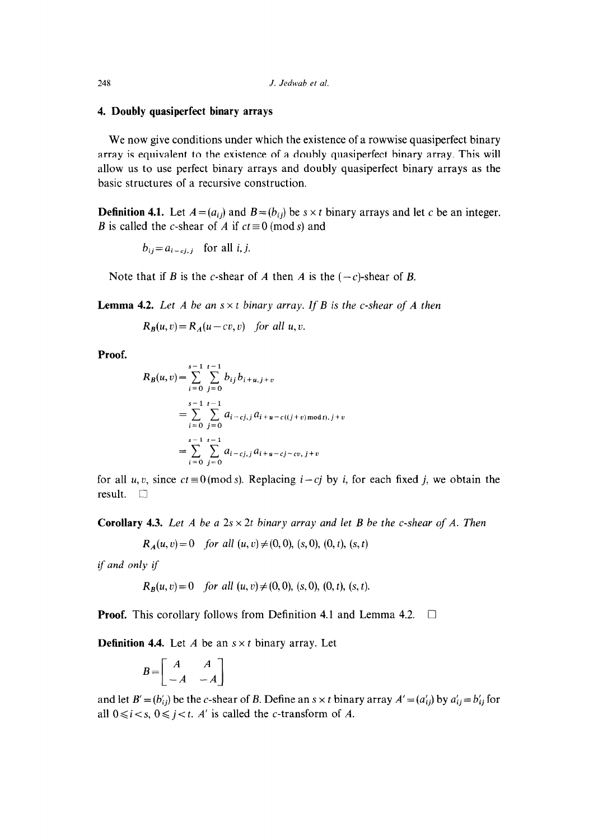## **4. Doubly quasiperfect binary arrays**

We now give conditions under which the existence of a rowwise quasiperfect binary array is equivalent to the existence of a doubly quasiperfect binary array. This will allow us to use perfect binary arrays and doubly quasiperfect binary arrays as the basic structures of a recursive construction.

**Definition 4.1.** Let  $A = (a_{ij})$  and  $B = (b_{ij})$  be  $s \times t$  binary arrays and let c be an integer. B is called the *c*-shear of A if  $ct \equiv 0 \pmod{s}$  and

 $b_{ij}=a_{i-cj,j}$  for all *i*, *j*.

Note that if B is the c-shear of A then A is the  $(-c)$ -shear of B.

**Lemma 4.2.** Let A be an  $s \times t$  binary array. If B is the c-shear of A then

 $R_B(u, v) = R_A(u - cv, v)$  for all u, v.

**Proof.** 

$$
R_B(u, v) = \sum_{i=0}^{s-1} \sum_{j=0}^{t-1} b_{ij} b_{i+u, j+v}
$$
  
= 
$$
\sum_{i=0}^{s-1} \sum_{j=0}^{t-1} a_{i-cj, j} a_{i+u-c((j+v) \text{ mod } t), j+v}
$$
  
= 
$$
\sum_{i=0}^{s-1} \sum_{j=0}^{t-1} a_{i-cj, j} a_{i+u-cj-cv, j+v}
$$

for all u, v, since  $ct \equiv 0 \pmod{s}$ . Replacing  $i - cj$  by *i*, for each fixed *j*, we obtain the result.  $\square$ 

**Corollary 4.3.** *Let A be a 2s*  $\times$  2t *binary array and let B be the c-shear of A. Then* 

 $R_A(u, v) = 0$  *for all*  $(u, v) \neq (0, 0)$ ,  $(s, 0)$ ,  $(0, t)$ ,  $(s, t)$ 

if and *only if* 

$$
R_B(u, v) = 0 \quad \text{for all } (u, v) \neq (0, 0), (s, 0), (0, t), (s, t).
$$

**Proof.** This corollary follows from Definition 4.1 and Lemma 4.2.  $\Box$ 

**Definition 4.4.** Let  $A$  be an  $s \times t$  binary array. Let

$$
B = \begin{bmatrix} A & A \\ -A & -A \end{bmatrix}
$$

and let  $B' = (b'_{ij})$  be the c-shear of *B*. Define an  $s \times t$  binary array  $A' = (a'_{ij})$  by  $a'_{ij} = b'_{ij}$  for all  $0 \le i \le s$ ,  $0 \le j \le t$ . A' is called the *c*-transform of *A*.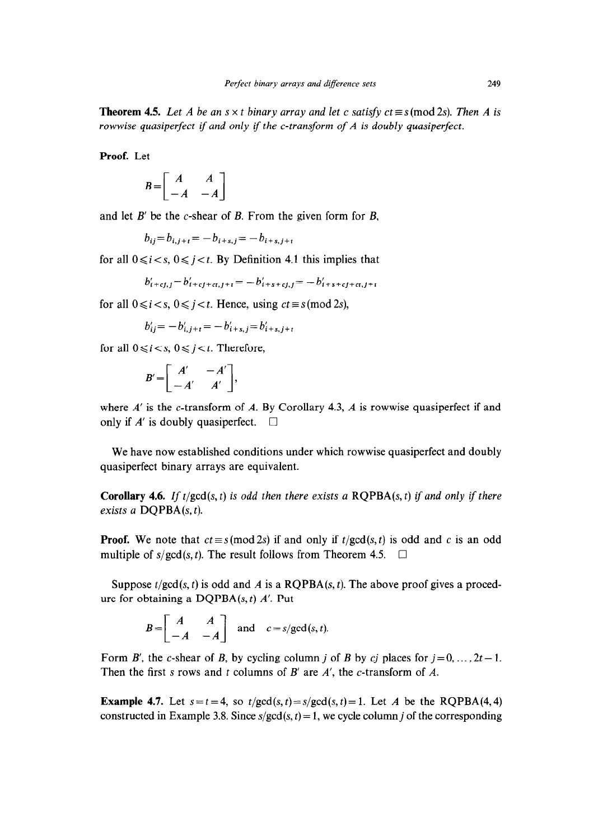**Theorem 4.5.** Let A be an  $s \times t$  binary array and let c satisfy  $ct \equiv s \pmod{2s}$ . Then A is *rowwise quasiperfect if and only if the c-transform of A is doubly quasiperfect.* 

**Proof.** Let

$$
B = \begin{bmatrix} A & A \\ -A & -A \end{bmatrix}
$$

and let B' be the c-shear of *B.* From the given form for *B,* 

$$
b_{ij} = b_{i,j+t} = -b_{i+s,j} = -b_{i+s,j+t}
$$

for all  $0 \le i \le s$ ,  $0 \le i \le t$ . By Definition 4.1 this implies that

$$
b'_{i+cj,j} = b'_{i+cj+cj,j+i} = -b'_{i+s+cj,j} = -b'_{i+s+cj+cj,i+j}
$$

for all  $0 \le i \le s$ ,  $0 \le i \le t$ . Hence, using  $ct \equiv s \pmod{2s}$ ,

 $b'_{ii}=-b'_{i,i+t}=-b'_{i+s,i}=b'_{i+s,i+t}$ 

for all  $0 \le i \le s$ ,  $0 \le j \le t$ . Therefore,

$$
B'=\left[\begin{array}{cc}A' & -A'\\ -A' & A'\end{array}\right],
$$

where *A'* is the *c*-transform of *A*. By Corollary 4.3, *A* is rowwise quasiperfect if and only if  $A'$  is doubly quasiperfect.  $\Box$ 

We have now established conditions under which rowwise quasiperfect and doubly quasiperfect binary arrays are equivalent.

**Corollary 4.6.** If  $t/gcd(s, t)$  is odd then there exists a  $RQPBA(s, t)$  if and only if there *exists a* DQPBA(s, t).

**Proof.** We note that  $ct \equiv s \pmod{2s}$  if and only if  $t/gcd(s, t)$  is odd and c is an odd multiple of  $s/gcd(s, t)$ . The result follows from Theorem 4.5.  $\Box$ 

Suppose  $t/gcd(s, t)$  is odd and *A* is a ROPBA $(s, t)$ . The above proof gives a procedure for obtaining a DQPBA(s, t) *A'.* Put

$$
B=\begin{bmatrix} A & A \\ -A & -A \end{bmatrix} \text{ and } c=s/\text{gcd}(s,t).
$$

Form *B'*, the *c*-shear of *B*, by cycling column *j* of *B* by *cj* places for  $j = 0, \ldots, 2t - 1$ . Then the first s rows and t columns of *B'* are *A',* the c-transform of *A.* 

**Example 4.7.** Let  $s = t = 4$ , so  $t/gcd(s, t) = s/gcd(s, t) = 1$ . Let *A* be the RQPBA(4, 4) constructed in Example 3.8. Since  $s/gcd(s, t) = 1$ , we cycle column j of the corresponding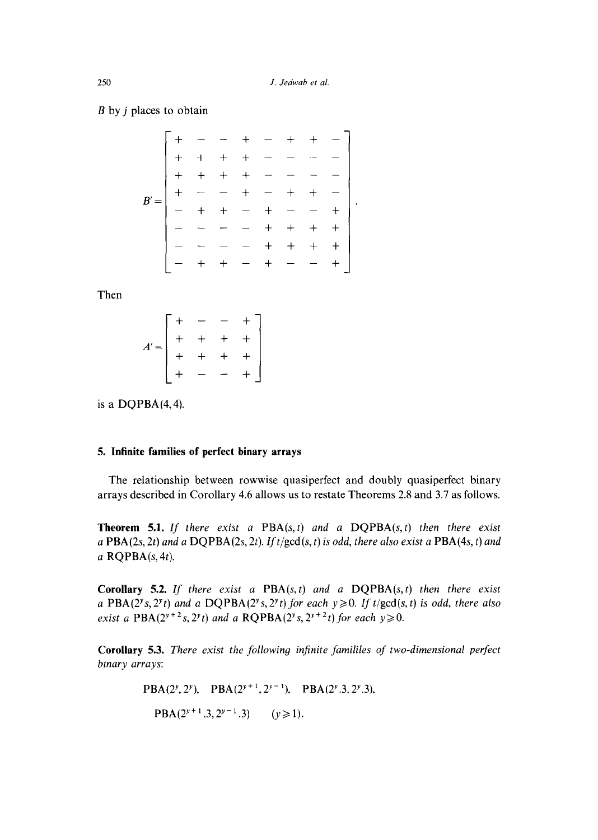$\ddot{\phantom{a}}$ 

*B* by j places to obtain

Then

$$
A' = \begin{bmatrix} + & - & - & + \\ + & + & + & + \\ + & + & + & + \\ + & - & - & + \end{bmatrix}
$$

is a  $DQPBA(4,4)$ .

# **5. Infinite families of perfect binary arrays**

The relationship between rowwise quasiperfect and doubly quasiperfect binary arrays described in Corollary 4.6 allows us to restate Theorems 2.8 and 3.7 as follows.

**Theorem 5.1. If** *there exist a* PBA(s, t) *and a* DQPBA(s, t) *then there exist a* PBA(2s, *2t) and a* DQPBA(2s, *2t). Zft/gcd(s, t) is odd, there also exist a* PBA(4s, t) *and*  a RQPBA(s, *4t).* 

**Corollary 5.2.** If there exist a PBA(s, t) and a DQPBA(s, t) then there exist a PBA( $2^{\nu}s$ ,  $2^{\nu}t$ ) and a DQPBA( $2^{\nu}s$ ,  $2^{\nu}t$ ) for each  $y \ge 0$ . If t/gcd( $s$ , t) is odd, there also *exist a* PBA( $2^{y+2}$ *s*,  $2^{y}$ *t*) *and a* RQPBA( $2^{y}$ *s*,  $2^{y+2}$ *t*) *for each*  $y \ge 0$ .

**Corollary 5.3.** *There exist the following infinite famililes of two-dimensional perfectionbinary arrays:* 

$$
PBA(2^{y}, 2^{y}), \quad PBA(2^{y+1}, 2^{y-1}), \quad PBA(2^{y}, 3, 2^{y}, 3),
$$

$$
PBA(2^{y+1}, 3, 2^{y-1}, 3) \qquad (y \ge 1).
$$

*250*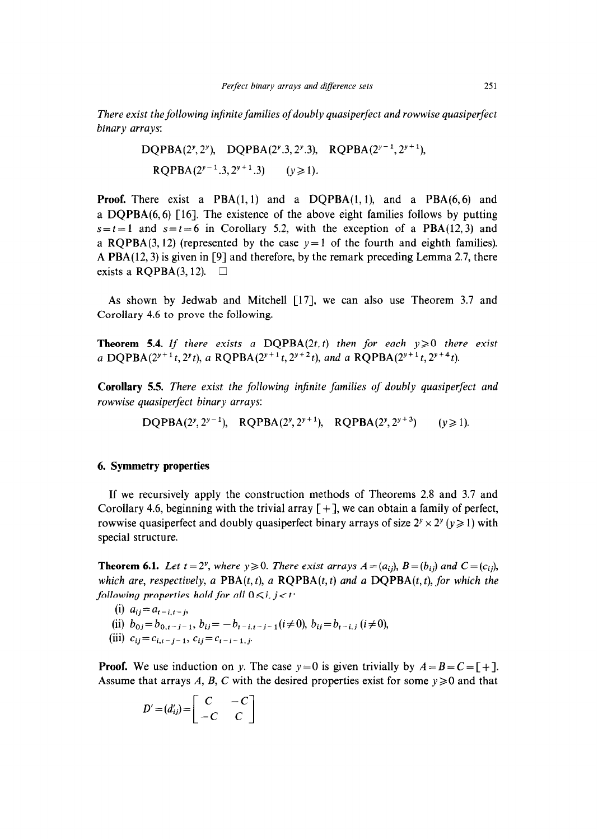*There exist the following infinite families of doubly quasiperfect and rowwise quasiperfect binary arrays:* 

DQPBA(2", 2") DQPBA(2y.3, 2y.3), RQPBA(2Y- ', 2"+ '), RQPBA(2y-'.3,2Y+'.3) *(Y 2 1).* 

**Proof.** There exist a  $PBA(1,1)$  and a  $DQPBA(1,1)$ , and a  $PBA(6,6)$  and a DQPBA(6,6) [16]. The existence of the above eight families follows by putting  $s = t = 1$  and  $s = t = 6$  in Corollary 5.2, with the exception of a PBA(12,3) and a ROPBA(3,12) (represented by the case  $y=1$  of the fourth and eighth families). A PBA(12,3) is given in [9] and therefore, by the remark preceding Lemma 2.7, there exists a RQPBA $(3, 12)$ .  $\Box$ 

As shown by Jedwab and Mitchell [17], we can also use Theorem 3.7 and Corollary 4.6 to prove the following.

**Theorem 5.4.** If there exists a DOPBA(2t, t) then for each  $v \ge 0$  there exist *a* **DQPBA**( $2^{y+1}t$ ,  $2^{y}t$ ), *a* **RQPBA**( $2^{y+1}t$ ,  $2^{y+2}t$ ), *and a* **RQPBA**( $2^{y+1}t$ ,  $2^{y+4}t$ ).

**Corollary 5.5.** *There exist the following injinite families of doubly quasiperfect and rowwise quasiperfect binary arrays:* 

DOPBA(2y, 2y<sup>-1</sup>), ROPBA(2y, 2y+1), ROPBA(2y, 2y+3) ( $v \ge 1$ ).

# **6. Symmetry properties**

If we recursively apply the construction methods of Theorems 2.8 and 3.7 and Corollary 4.6, beginning with the trivial array  $[+]$ , we can obtain a family of perfect, rowwise quasiperfect and doubly quasiperfect binary arrays of size  $2^y \times 2^y$  ( $y \ge 1$ ) with special structure.

**Theorem 6.1.** *Let t* = 2<sup>*y*</sup>, where *y*  $\geq$  0. *There exist arrays A* = ( $a_{ij}$ ), *B* = ( $b_{ij}$ ) and *C* = ( $c_{ij}$ ), *which are, respectively, a PBA(t, t), a RQPBA(t, t) and a DQPBA(t, t), for which the following properties hold for all*  $0 \le i, j < t$ :

- (i)  $a_{ij} = a_{i-j} t_{j}$
- (ii)  $b_{0i} = b_{0,i-i-1}, b_{ij} = -b_{t-i,t-i-1} (i \neq 0), b_{ij} = b_{t-i,j} (i \neq 0),$  $\begin{pmatrix} 0 & 0 \\ 0 & 1 \end{pmatrix}$   $c_{ij} = c_{i,t-j-1}, c_{ij} = c_{t-i}$

**Proof.** We use induction on y. The case  $y=0$  is given trivially by  $A=B=C=\lfloor + \rfloor$ . Assume that arrays *A, B, C* with the desired properties exist for some  $y \ge 0$  and that

$$
D' = (d'_{ij}) = \begin{bmatrix} C & -C \\ -C & C \end{bmatrix}
$$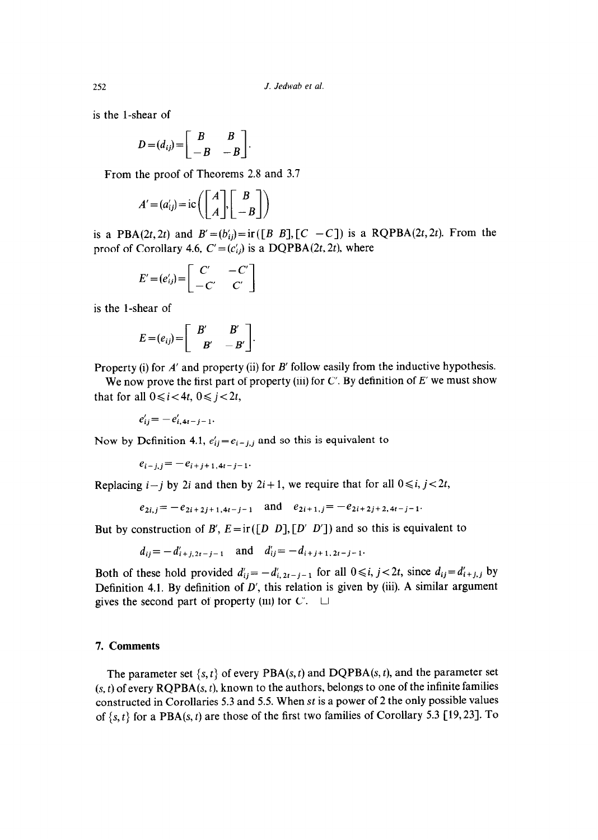is the l-shear of

$$
D = (d_{ij}) = \begin{bmatrix} B & B \\ -B & -B \end{bmatrix}
$$

From the proof of Theorems 2.8 and 3.7

$$
A' = (a'_{ij}) = ic \left( \begin{bmatrix} A \\ A \end{bmatrix}, \begin{bmatrix} B \\ -B \end{bmatrix} \right)
$$

is a PBA(2t, 2t) and  $B' = (b'_{ij}) = \text{ir}([B \ B], [C \ -C])$  is a RQPBA(2t, 2t). From the proof of Corollary 4.6,  $C' = (c'_{ij})$  is a DQPBA(2t, 2t), where

$$
E' = (e'_{ij}) = \begin{bmatrix} C' & -C' \\ -C' & C' \end{bmatrix}
$$

is the l-shear of

$$
E = (e_{ij}) = \begin{bmatrix} B' & B' \\ -B' & -B' \end{bmatrix}.
$$

Property (i) for *A'* and property (ii) for *B'* follow easily from the inductive hypothesis.

We now prove the first part of property (iii) for C'. By definition of *E' we* must show that for all  $0 \le i < 4t$ ,  $0 \le i < 2t$ ,

 $e'_{ij} = -e'_{i,4t-j-1}.$ 

Now by Definition 4.1,  $e'_{ij}=e_{i-j,j}$  and so this is equivalent to

 $e_{i-j,j}=-e_{i+j+1,4t-j-1}.$ 

Replacing  $i-j$  by 2*i* and then by  $2i+1$ , we require that for all  $0 \le i, j < 2t$ ,

$$
e_{2i,j} = -e_{2i+2j+1,4i-j-1}
$$
 and  $e_{2i+1,j} = -e_{2i+2j+2,4i-j-1}$ 

But by construction of B',  $E = ir([D \ D], [D' \ D'])$  and so this is equivalent to

 $d_{ij} = -d'_{i+j,2t-j-1}$  and  $d'_{ij} = -d_{i+j+1,2t-j-1}$ .

Both of these hold provided  $d'_{ij} = -d'_{i,2i-j-1}$  for all  $0 \le i, j < 2i$ , since  $d_{ij} = d'_{i+j,j}$  by Definition 4.1. By definition of *D',* this relation is given by (iii). A similar argument gives the second part of property (iii) for  $C'$ .  $\Box$ 

## 7. **Comments**

The parameter set  $\{s, t\}$  of every PBA(s, t) and DQPBA(s, t), and the parameter set  $(s, t)$  of every  $RQPBA(s, t)$ , known to the authors, belongs to one of the infinite families constructed in Corollaries 5.3 and 5.5. When st is a power of 2 the only possible values of  $\{s, t\}$  for a PBA(s, t) are those of the first two families of Corollary 5.3 [19, 23]. To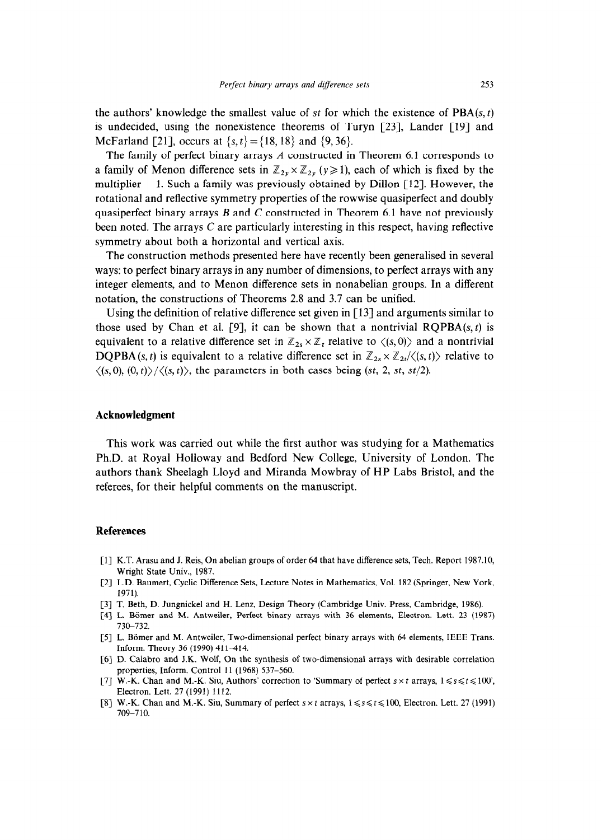the authors' knowledge the smallest value of st for which the existence of  $\text{PBA}(s, t)$ is undecided, using the nonexistence theorems of Turyn  $[23]$ , Lander  $[19]$  and McFarland [21], occurs at  $\{s, t\} = \{18, 18\}$  and  $\{9, 36\}$ .

The family of perfect binary arrays A constructed in Theorem 6.1 corresponds to a family of Menon difference sets in  $\mathbb{Z}_{2y} \times \mathbb{Z}_{2y}$  ( $y \ge 1$ ), each of which is fixed by the multiplier  $-1$ . Such a family was previously obtained by Dillon [12]. However, the rotational and reflective symmetry properties of the rowwise quasiperfect and doubly quasiperfect binary arrays  $B$  and  $C$  constructed in Theorem 6.1 have not previously been noted. The arrays C are particularly interesting in this respect, having reflective symmetry about both a horizontal and vertical axis.

The construction methods presented here have recently been generalised in several ways: to perfect binary arrays in any number of dimensions, to perfect arrays with any integer elements, and to Menon difference sets in nonabelian groups. In a different notation, the constructions of Theorems 2.8 and 3.7 can be unified.

Using the definition of relative difference set given in [13] and arguments similar to those used by Chan et al. [9], it can be shown that a nontrivial  $RQPBA(s, t)$  is equivalent to a relative difference set in  $\mathbb{Z}_{2s} \times \mathbb{Z}_t$  relative to  $\langle (s, 0) \rangle$  and a nontrivial **DQPBA** (s, t) is equivalent to a relative difference set in  $\mathbb{Z}_{2s} \times \mathbb{Z}_{2t}/\langle s,t \rangle$  relative to  $\langle (s, 0), (0, t) \rangle / \langle (s, t) \rangle$ , the parameters in both cases being (st, 2, st, st/2).

#### **Acknowledgment**

This work was carried out while the first author was studying for a Mathematics Ph.D. at Royal Holloway and Bedford New College, University of London. The authors thank Sheelagh Lloyd and Miranda Mowbray of HP Labs Bristol, and the referees, for their helpful comments on the manuscript.

#### **References**

- [l] K.T. Arasu and J. Reis, On abelian groups of order 64 that have difference sets, Tech. Report 1987.10, Wright State Univ., 1987.
- [2] L.D. Baumert, Cyclic Difference Sets, Lecture Notes in Mathematics, Vol. 182 (Springer, New York, 1971).
- [3] T. Beth, D. Jungnickel and H. Lenz, Design Theory (Cambridge Univ. Press, Cambridge, 1986).
- [4] L. Bömer and M. Antweiler, Perfect binary arrays with 36 elements, Electron. Lett. 23 (1987) 730-732.
- [5] L. Bömer and M. Antweiler, Two-dimensional perfect binary arrays with 64 elements, IEEE Trans. Inform. Theory 36 (1990) 411-414.
- [6] D. Calabro and J.K. Wolf, On the synthesis of two-dimensional arrays with desirable correlation properties, Inform. Control 11 (1968) 537-560.
- [7] W.-K. Chan and M.-K. Siu, Authors' correction to 'Summary of perfect  $s \times t$  arrays,  $1 \le s \le t \le 100$ ', Electron. Lett. 27 (1991) 1112.
- [8] W.-K. Chan and M.-K. Siu, Summary of perfect  $s \times t$  arrays,  $1 \le s \le t \le 100$ , Electron. Lett. 27 (1991) 709-710.